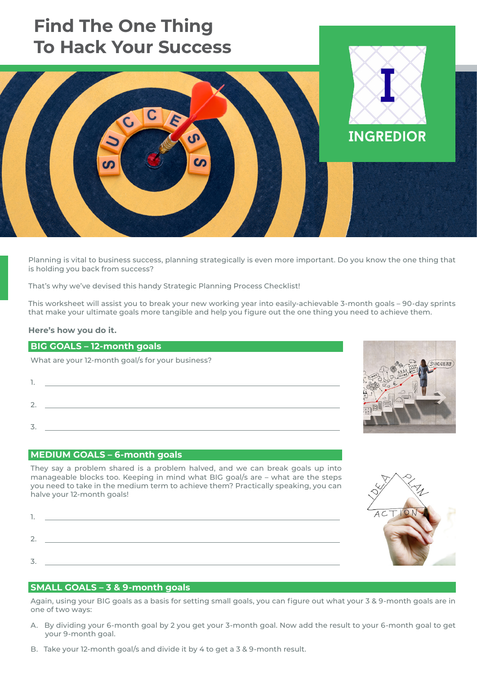# **Find The One Thing To Hack Your Success**



Planning is vital to business success, planning strategically is even more important. Do you know the one thing that is holding you back from success?

That's why we've devised this handy Strategic Planning Process Checklist!

This worksheet will assist you to break your new working year into easily-achievable 3-month goals – 90-day sprints that make your ultimate goals more tangible and help you figure out the one thing you need to achieve them.

#### **Here's how you do it.**

### **BIG GOALS – 12-month goals**

What are your 12-month goal/s for your business?

1. 2. 3.

### **MEDIUM GOALS – 6-month goals**

They say a problem shared is a problem halved, and we can break goals up into manageable blocks too. Keeping in mind what BIG goal/s are – what are the steps you need to take in the medium term to achieve them? Practically speaking, you can halve your 12-month goals!

| $\mathbf{I}$ |  |
|--------------|--|
|              |  |
|              |  |
|              |  |
|              |  |
| ⇁            |  |
|              |  |

### **SMALL GOALS – 3 & 9-month goals**

Again, using your BIG goals as a basis for setting small goals, you can figure out what your 3 & 9-month goals are in one of two ways:

- A. By dividing your 6-month goal by 2 you get your 3-month goal. Now add the result to your 6-month goal to get your 9-month goal.
- B. Take your 12-month goal/s and divide it by 4 to get a 3 & 9-month result.



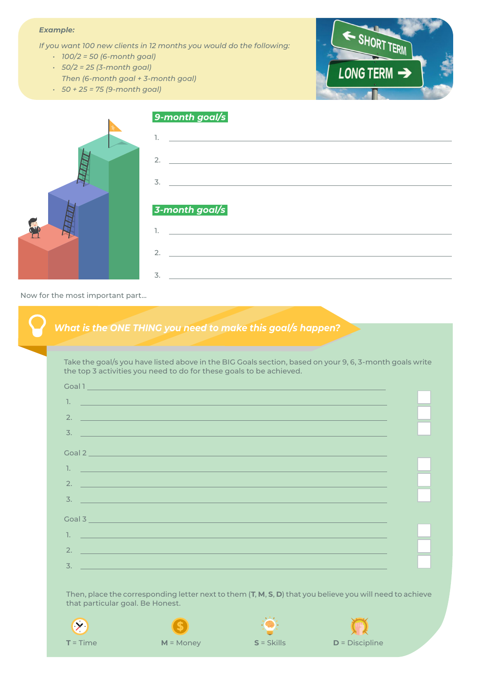### *Example:*

*If you want 100 new clients in 12 months you would do the following:* 

- *• 100/2 = 50 (6-month goal)*
- *• 50/2 = 25 (3-month goal)*
- *Then (6-month goal + 3-month goal)*
- *• 50 + 25 = 75 (9-month goal)*





Now for the most important part…

### *What is the ONE THING you need to make this goal/s happen?*

Take the goal/s you have listed above in the BIG Goals section, based on your 9, 6, 3-month goals write the top 3 activities you need to do for these goals to be achieved.

|                  | Coal 1                                                                                                                  |  |
|------------------|-------------------------------------------------------------------------------------------------------------------------|--|
| 1.               | <u> 1989 - Johann Barn, mars ann an t-A</u>                                                                             |  |
| 2.               |                                                                                                                         |  |
| $\overline{3}$ . |                                                                                                                         |  |
|                  |                                                                                                                         |  |
|                  |                                                                                                                         |  |
| 1.               |                                                                                                                         |  |
| 2.               | <u> 1980 - An Dùbhlachd ann an Dùbhlachd ann an Dùbhlachd ann an Dùbhlachd ann an Dùbhlachd ann an Dùbhlachd ann </u>   |  |
| $\overline{3}$ . |                                                                                                                         |  |
|                  | <u> 1989 - Andrea Stadt Britain, amerikansk politiker (d. 1989)</u>                                                     |  |
| Goal 3           | $\mathcal{L}(\mathcal{L})$ and $\mathcal{L}(\mathcal{L})$ and $\mathcal{L}(\mathcal{L})$ and $\mathcal{L}(\mathcal{L})$ |  |
| $\mathbb{L}$     | a de la construcción de la construcción de la construcción de la construcción de la construcción de la construcción     |  |
| 2.               |                                                                                                                         |  |
|                  | a sa kabilang pangalang sa pangalang sa pangalang sa pangalang sa pangalang sa pangalang sa pangalang sa pang           |  |
| 3.               |                                                                                                                         |  |

Then, place the corresponding letter next to them (**T**, **M**, **S**, **D**) that you believe you will need to achieve that particular goal. Be Honest.